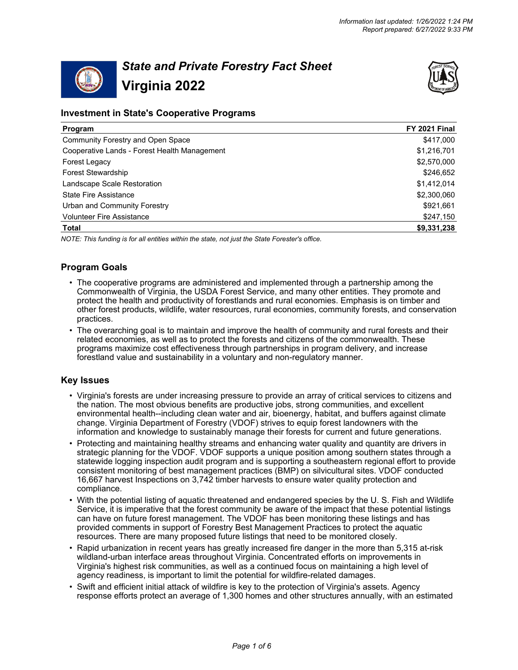

# *State and Private Forestry Fact Sheet* **Virginia 2022**



# **Investment in State's Cooperative Programs**

| Program                                      | FY 2021 Final |
|----------------------------------------------|---------------|
| Community Forestry and Open Space            | \$417,000     |
| Cooperative Lands - Forest Health Management | \$1,216,701   |
| Forest Legacy                                | \$2,570,000   |
| <b>Forest Stewardship</b>                    | \$246,652     |
| Landscape Scale Restoration                  | \$1,412,014   |
| <b>State Fire Assistance</b>                 | \$2,300,060   |
| Urban and Community Forestry                 | \$921,661     |
| <b>Volunteer Fire Assistance</b>             | \$247,150     |
| Total                                        | \$9,331,238   |

*NOTE: This funding is for all entities within the state, not just the State Forester's office.*

# **Program Goals**

- The cooperative programs are administered and implemented through a partnership among the Commonwealth of Virginia, the USDA Forest Service, and many other entities. They promote and protect the health and productivity of forestlands and rural economies. Emphasis is on timber and other forest products, wildlife, water resources, rural economies, community forests, and conservation practices.
- The overarching goal is to maintain and improve the health of community and rural forests and their related economies, as well as to protect the forests and citizens of the commonwealth. These programs maximize cost effectiveness through partnerships in program delivery, and increase forestland value and sustainability in a voluntary and non-regulatory manner.

# **Key Issues**

- Virginia's forests are under increasing pressure to provide an array of critical services to citizens and the nation. The most obvious benefits are productive jobs, strong communities, and excellent environmental health--including clean water and air, bioenergy, habitat, and buffers against climate change. Virginia Department of Forestry (VDOF) strives to equip forest landowners with the information and knowledge to sustainably manage their forests for current and future generations.
- Protecting and maintaining healthy streams and enhancing water quality and quantity are drivers in strategic planning for the VDOF. VDOF supports a unique position among southern states through a statewide logging inspection audit program and is supporting a southeastern regional effort to provide consistent monitoring of best management practices (BMP) on silvicultural sites. VDOF conducted 16,667 harvest Inspections on 3,742 timber harvests to ensure water quality protection and compliance.
- With the potential listing of aquatic threatened and endangered species by the U. S. Fish and Wildlife Service, it is imperative that the forest community be aware of the impact that these potential listings can have on future forest management. The VDOF has been monitoring these listings and has provided comments in support of Forestry Best Management Practices to protect the aquatic resources. There are many proposed future listings that need to be monitored closely.
- Rapid urbanization in recent years has greatly increased fire danger in the more than 5,315 at-risk wildland-urban interface areas throughout Virginia. Concentrated efforts on improvements in Virginia's highest risk communities, as well as a continued focus on maintaining a high level of agency readiness, is important to limit the potential for wildfire-related damages.
- Swift and efficient initial attack of wildfire is key to the protection of Virginia's assets. Agency response efforts protect an average of 1,300 homes and other structures annually, with an estimated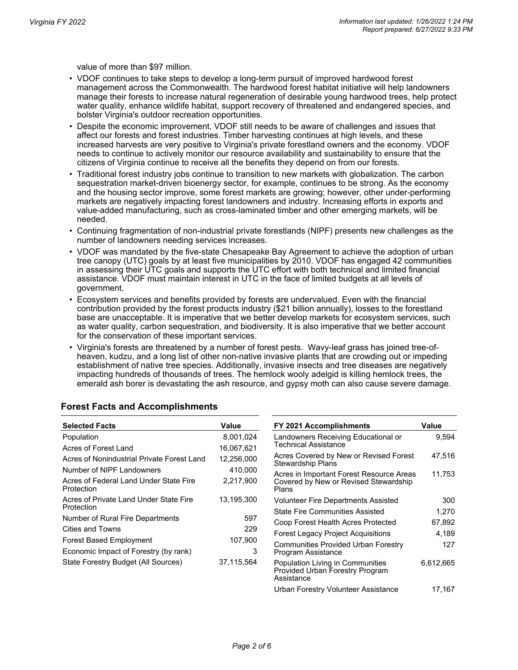value of more than \$97 million.

- VDOF continues to take steps to develop a long-term pursuit of improved hardwood forest management across the Commonwealth. The hardwood forest habitat initiative will help landowners manage their forests to increase natural regeneration of desirable young hardwood trees, help protect water quality, enhance wildlife habitat, support recovery of threatened and endangered species, and bolster Virginia's outdoor recreation opportunities.
- Despite the economic improvement, VDOF still needs to be aware of challenges and issues that affect our forests and forest industries. Timber harvesting continues at high levels, and these increased harvests are very positive to Virginia's private forestland owners and the economy. VDOF needs to continue to actively monitor our resource availability and sustainability to ensure that the citizens of Virginia continue to receive all the benefits they depend on from our forests.
- Traditional forest industry jobs continue to transition to new markets with globalization. The carbon sequestration market-driven bioenergy sector, for example, continues to be strong. As the economy and the housing sector improve, some forest markets are growing; however, other under-performing markets are negatively impacting forest landowners and industry. Increasing efforts in exports and value-added manufacturing, such as cross-laminated timber and other emerging markets, will be needed.
- Continuing fragmentation of non-industrial private forestlands (NIPF) presents new challenges as the number of landowners needing services increases.
- VDOF was mandated by the five-state Chesapeake Bay Agreement to achieve the adoption of urban tree canopy (UTC) goals by at least five municipalities by 2010. VDOF has engaged 42 communities in assessing their UTC goals and supports the UTC effort with both technical and limited financial assistance. VDOF must maintain interest in UTC in the face of limited budgets at all levels of government.
- Ecosystem services and benefits provided by forests are undervalued. Even with the financial contribution provided by the forest products industry (\$21 billion annually), losses to the forestland base are unacceptable. It is imperative that we better develop markets for ecosystem services, such as water quality, carbon sequestration, and biodiversity. It is also imperative that we better account for the conservation of these important services.
- Virginia's forests are threatened by a number of forest pests. Wavy-leaf grass has joined tree-ofheaven, kudzu, and a long list of other non-native invasive plants that are crowding out or impeding establishment of native tree species. Additionally, invasive insects and tree diseases are negatively impacting hundreds of thousands of trees. The hemlock wooly adelgid is killing hemlock trees, the emerald ash borer is devastating the ash resource, and gypsy moth can also cause severe damage.

| <b>Selected Facts</b>                                | Value      | FY 2021 Accomplishments                                                           | Value     |
|------------------------------------------------------|------------|-----------------------------------------------------------------------------------|-----------|
| Population                                           | 8,001,024  | Landowners Receiving Educational or                                               | 9,594     |
| Acres of Forest Land                                 | 16,067,621 | Technical Assistance                                                              |           |
| Acres of Nonindustrial Private Forest Land           | 12,256,000 | Acres Covered by New or Revised Forest<br>Stewardship Plans                       | 47,516    |
| Number of NIPF Landowners                            | 410,000    | Acres in Important Forest Resource Areas                                          | 11.753    |
| Acres of Federal Land Under State Fire<br>Protection | 2,217,900  | Covered by New or Revised Stewardship<br>Plans                                    |           |
| Acres of Private Land Under State Fire               | 13,195,300 | <b>Volunteer Fire Departments Assisted</b>                                        | 300       |
| Protection                                           |            | <b>State Fire Communities Assisted</b>                                            | 1,270     |
| Number of Rural Fire Departments                     | 597        | Coop Forest Health Acres Protected                                                | 67,892    |
| Cities and Towns                                     | 229        | <b>Forest Legacy Project Acquisitions</b>                                         | 4,189     |
| <b>Forest Based Employment</b>                       | 107,900    | <b>Communities Provided Urban Forestry</b>                                        | 127       |
| Economic Impact of Forestry (by rank)                | 3          | Program Assistance                                                                |           |
| State Forestry Budget (All Sources)                  | 37,115,564 | Population Living in Communities<br>Provided Urban Forestry Program<br>Assistance | 6,612,665 |
|                                                      |            | Urban Forestry Volunteer Assistance                                               | 17.167    |

# **Forest Facts and Accomplishments**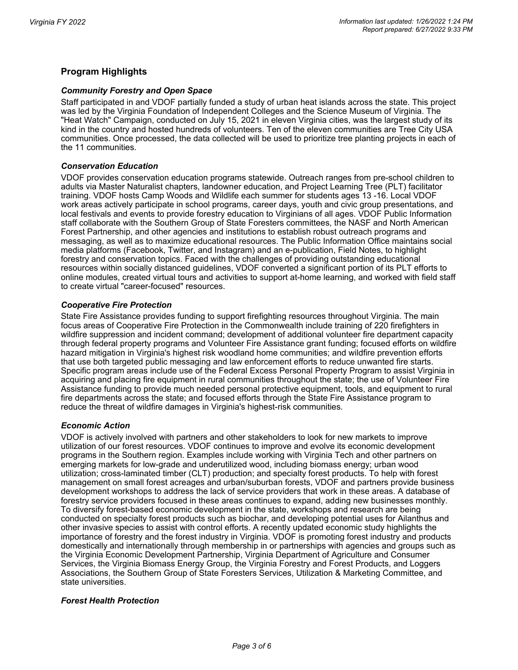# **Program Highlights**

#### *Community Forestry and Open Space*

Staff participated in and VDOF partially funded a study of urban heat islands across the state. This project was led by the Virginia Foundation of Independent Colleges and the Science Museum of Virginia. The "Heat Watch" Campaign, conducted on July 15, 2021 in eleven Virginia cities, was the largest study of its kind in the country and hosted hundreds of volunteers. Ten of the eleven communities are Tree City USA communities. Once processed, the data collected will be used to prioritize tree planting projects in each of the 11 communities.

## *Conservation Education*

VDOF provides conservation education programs statewide. Outreach ranges from pre-school children to adults via Master Naturalist chapters, landowner education, and Project Learning Tree (PLT) facilitator training. VDOF hosts Camp Woods and Wildlife each summer for students ages 13 -16. Local VDOF work areas actively participate in school programs, career days, youth and civic group presentations, and local festivals and events to provide forestry education to Virginians of all ages. VDOF Public Information staff collaborate with the Southern Group of State Foresters committees, the NASF and North American Forest Partnership, and other agencies and institutions to establish robust outreach programs and messaging, as well as to maximize educational resources. The Public Information Office maintains social media platforms (Facebook, Twitter, and Instagram) and an e-publication, Field Notes, to highlight forestry and conservation topics. Faced with the challenges of providing outstanding educational resources within socially distanced guidelines, VDOF converted a significant portion of its PLT efforts to online modules, created virtual tours and activities to support at-home learning, and worked with field staff to create virtual "career-focused" resources.

## *Cooperative Fire Protection*

State Fire Assistance provides funding to support firefighting resources throughout Virginia. The main focus areas of Cooperative Fire Protection in the Commonwealth include training of 220 firefighters in wildfire suppression and incident command; development of additional volunteer fire department capacity through federal property programs and Volunteer Fire Assistance grant funding; focused efforts on wildfire hazard mitigation in Virginia's highest risk woodland home communities; and wildfire prevention efforts that use both targeted public messaging and law enforcement efforts to reduce unwanted fire starts. Specific program areas include use of the Federal Excess Personal Property Program to assist Virginia in acquiring and placing fire equipment in rural communities throughout the state; the use of Volunteer Fire Assistance funding to provide much needed personal protective equipment, tools, and equipment to rural fire departments across the state; and focused efforts through the State Fire Assistance program to reduce the threat of wildfire damages in Virginia's highest-risk communities.

#### *Economic Action*

VDOF is actively involved with partners and other stakeholders to look for new markets to improve utilization of our forest resources. VDOF continues to improve and evolve its economic development programs in the Southern region. Examples include working with Virginia Tech and other partners on emerging markets for low-grade and underutilized wood, including biomass energy; urban wood utilization; cross-laminated timber (CLT) production; and specialty forest products. To help with forest management on small forest acreages and urban/suburban forests, VDOF and partners provide business development workshops to address the lack of service providers that work in these areas. A database of forestry service providers focused in these areas continues to expand, adding new businesses monthly. To diversify forest-based economic development in the state, workshops and research are being conducted on specialty forest products such as biochar, and developing potential uses for Ailanthus and other invasive species to assist with control efforts. A recently updated economic study highlights the importance of forestry and the forest industry in Virginia. VDOF is promoting forest industry and products domestically and internationally through membership in or partnerships with agencies and groups such as the Virginia Economic Development Partnership, Virginia Department of Agriculture and Consumer Services, the Virginia Biomass Energy Group, the Virginia Forestry and Forest Products, and Loggers Associations, the Southern Group of State Foresters Services, Utilization & Marketing Committee, and state universities.

#### *Forest Health Protection*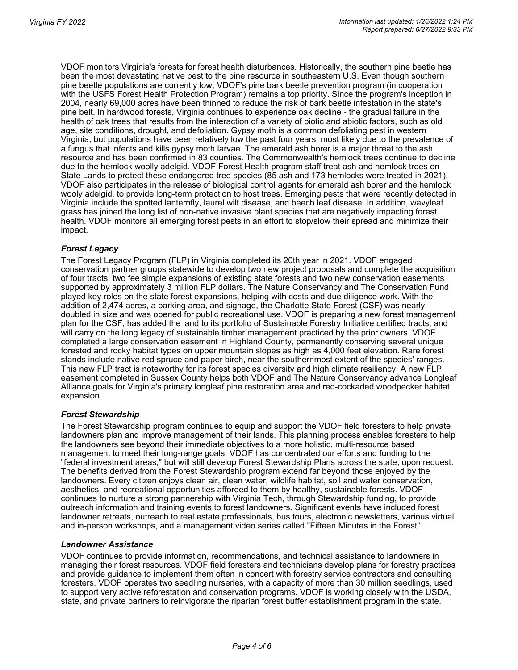VDOF monitors Virginia's forests for forest health disturbances. Historically, the southern pine beetle has been the most devastating native pest to the pine resource in southeastern U.S. Even though southern pine beetle populations are currently low, VDOF's pine bark beetle prevention program (in cooperation with the USFS Forest Health Protection Program) remains a top priority. Since the program's inception in 2004, nearly 69,000 acres have been thinned to reduce the risk of bark beetle infestation in the state's pine belt. In hardwood forests, Virginia continues to experience oak decline - the gradual failure in the health of oak trees that results from the interaction of a variety of biotic and abiotic factors, such as old age, site conditions, drought, and defoliation. Gypsy moth is a common defoliating pest in western Virginia, but populations have been relatively low the past four years, most likely due to the prevalence of a fungus that infects and kills gypsy moth larvae. The emerald ash borer is a major threat to the ash resource and has been confirmed in 83 counties. The Commonwealth's hemlock trees continue to decline due to the hemlock woolly adelgid. VDOF Forest Health program staff treat ash and hemlock trees on State Lands to protect these endangered tree species (85 ash and 173 hemlocks were treated in 2021). VDOF also participates in the release of biological control agents for emerald ash borer and the hemlock wooly adelgid, to provide long-term protection to host trees. Emerging pests that were recently detected in Virginia include the spotted lanternfly, laurel wilt disease, and beech leaf disease. In addition, wavyleaf grass has joined the long list of non-native invasive plant species that are negatively impacting forest health. VDOF monitors all emerging forest pests in an effort to stop/slow their spread and minimize their impact.

## *Forest Legacy*

The Forest Legacy Program (FLP) in Virginia completed its 20th year in 2021. VDOF engaged conservation partner groups statewide to develop two new project proposals and complete the acquisition of four tracts: two fee simple expansions of existing state forests and two new conservation easements supported by approximately 3 million FLP dollars. The Nature Conservancy and The Conservation Fund played key roles on the state forest expansions, helping with costs and due diligence work. With the addition of 2,474 acres, a parking area, and signage, the Charlotte State Forest (CSF) was nearly doubled in size and was opened for public recreational use. VDOF is preparing a new forest management plan for the CSF, has added the land to its portfolio of Sustainable Forestry Initiative certified tracts, and will carry on the long legacy of sustainable timber management practiced by the prior owners. VDOF completed a large conservation easement in Highland County, permanently conserving several unique forested and rocky habitat types on upper mountain slopes as high as 4,000 feet elevation. Rare forest stands include native red spruce and paper birch, near the southernmost extent of the species' ranges. This new FLP tract is noteworthy for its forest species diversity and high climate resiliency. A new FLP easement completed in Sussex County helps both VDOF and The Nature Conservancy advance Longleaf Alliance goals for Virginia's primary longleaf pine restoration area and red-cockaded woodpecker habitat expansion.

#### *Forest Stewardship*

The Forest Stewardship program continues to equip and support the VDOF field foresters to help private landowners plan and improve management of their lands. This planning process enables foresters to help the landowners see beyond their immediate objectives to a more holistic, multi-resource based management to meet their long-range goals. VDOF has concentrated our efforts and funding to the "federal investment areas," but will still develop Forest Stewardship Plans across the state, upon request. The benefits derived from the Forest Stewardship program extend far beyond those enjoyed by the landowners. Every citizen enjoys clean air, clean water, wildlife habitat, soil and water conservation, aesthetics, and recreational opportunities afforded to them by healthy, sustainable forests. VDOF continues to nurture a strong partnership with Virginia Tech, through Stewardship funding, to provide outreach information and training events to forest landowners. Significant events have included forest landowner retreats, outreach to real estate professionals, bus tours, electronic newsletters, various virtual and in-person workshops, and a management video series called "Fifteen Minutes in the Forest".

#### *Landowner Assistance*

VDOF continues to provide information, recommendations, and technical assistance to landowners in managing their forest resources. VDOF field foresters and technicians develop plans for forestry practices and provide guidance to implement them often in concert with forestry service contractors and consulting foresters. VDOF operates two seedling nurseries, with a capacity of more than 30 million seedlings, used to support very active reforestation and conservation programs. VDOF is working closely with the USDA, state, and private partners to reinvigorate the riparian forest buffer establishment program in the state.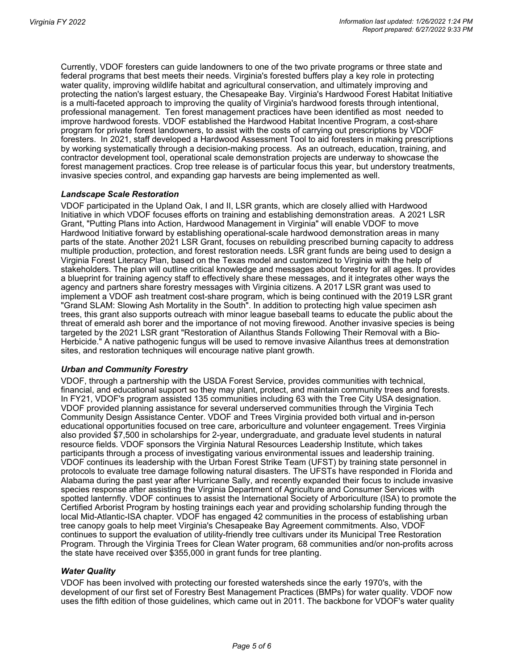Currently, VDOF foresters can guide landowners to one of the two private programs or three state and federal programs that best meets their needs. Virginia's forested buffers play a key role in protecting water quality, improving wildlife habitat and agricultural conservation, and ultimately improving and protecting the nation's largest estuary, the Chesapeake Bay. Virginia's Hardwood Forest Habitat Initiative is a multi-faceted approach to improving the quality of Virginia's hardwood forests through intentional, professional management. Ten forest management practices have been identified as most needed to improve hardwood forests. VDOF established the Hardwood Habitat Incentive Program, a cost-share program for private forest landowners, to assist with the costs of carrying out prescriptions by VDOF foresters. In 2021, staff developed a Hardwood Assessment Tool to aid foresters in making prescriptions by working systematically through a decision-making process. As an outreach, education, training, and contractor development tool, operational scale demonstration projects are underway to showcase the forest management practices. Crop tree release is of particular focus this year, but understory treatments, invasive species control, and expanding gap harvests are being implemented as well.

#### *Landscape Scale Restoration*

VDOF participated in the Upland Oak, I and II, LSR grants, which are closely allied with Hardwood Initiative in which VDOF focuses efforts on training and establishing demonstration areas. A 2021 LSR Grant, "Putting Plans into Action, Hardwood Management in Virginia" will enable VDOF to move Hardwood Initiative forward by establishing operational-scale hardwood demonstration areas in many parts of the state. Another 2021 LSR Grant, focuses on rebuilding prescribed burning capacity to address multiple production, protection, and forest restoration needs. LSR grant funds are being used to design a Virginia Forest Literacy Plan, based on the Texas model and customized to Virginia with the help of stakeholders. The plan will outline critical knowledge and messages about forestry for all ages. It provides a blueprint for training agency staff to effectively share these messages, and it integrates other ways the agency and partners share forestry messages with Virginia citizens. A 2017 LSR grant was used to implement a VDOF ash treatment cost-share program, which is being continued with the 2019 LSR grant "Grand SLAM: Slowing Ash Mortality in the South". In addition to protecting high value specimen ash trees, this grant also supports outreach with minor league baseball teams to educate the public about the threat of emerald ash borer and the importance of not moving firewood. Another invasive species is being targeted by the 2021 LSR grant "Restoration of Ailanthus Stands Following Their Removal with a Bio-Herbicide." A native pathogenic fungus will be used to remove invasive Ailanthus trees at demonstration sites, and restoration techniques will encourage native plant growth.

#### *Urban and Community Forestry*

VDOF, through a partnership with the USDA Forest Service, provides communities with technical, financial, and educational support so they may plant, protect, and maintain community trees and forests. In FY21, VDOF's program assisted 135 communities including 63 with the Tree City USA designation. VDOF provided planning assistance for several underserved communities through the Virginia Tech Community Design Assistance Center. VDOF and Trees Virginia provided both virtual and in-person educational opportunities focused on tree care, arboriculture and volunteer engagement. Trees Virginia also provided \$7,500 in scholarships for 2-year, undergraduate, and graduate level students in natural resource fields. VDOF sponsors the Virginia Natural Resources Leadership Institute, which takes participants through a process of investigating various environmental issues and leadership training. VDOF continues its leadership with the Urban Forest Strike Team (UFST) by training state personnel in protocols to evaluate tree damage following natural disasters. The UFSTs have responded in Florida and Alabama during the past year after Hurricane Sally, and recently expanded their focus to include invasive species response after assisting the Virginia Department of Agriculture and Consumer Services with spotted lanternfly. VDOF continues to assist the International Society of Arboriculture (ISA) to promote the Certified Arborist Program by hosting trainings each year and providing scholarship funding through the local Mid-Atlantic-ISA chapter. VDOF has engaged 42 communities in the process of establishing urban tree canopy goals to help meet Virginia's Chesapeake Bay Agreement commitments. Also, VDOF continues to support the evaluation of utility-friendly tree cultivars under its Municipal Tree Restoration Program. Through the Virginia Trees for Clean Water program, 68 communities and/or non-profits across the state have received over \$355,000 in grant funds for tree planting.

## *Water Quality*

VDOF has been involved with protecting our forested watersheds since the early 1970's, with the development of our first set of Forestry Best Management Practices (BMPs) for water quality. VDOF now uses the fifth edition of those guidelines, which came out in 2011. The backbone for VDOF's water quality